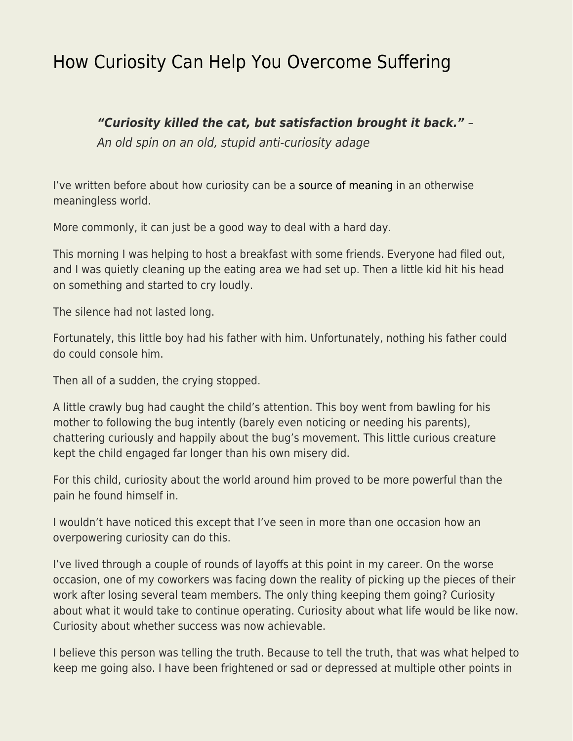## [How Curiosity Can Help You Overcome Suffering](https://everything-voluntary.com/curiosity-can-help-overcome-suffering)

## *"Curiosity killed the cat, but satisfaction brought it back."* –

An old spin on an old, stupid anti-curiosity adage

I've written before about how curiosity can be a [source of meaning](https://www.jameswalpole.com/curiosity) in an otherwise meaningless world.

More commonly, it can just be a good way to deal with a hard day.

This morning I was helping to host a breakfast with some friends. Everyone had filed out, and I was quietly cleaning up the eating area we had set up. Then a little kid hit his head on something and started to cry loudly.

The silence had not lasted long.

Fortunately, this little boy had his father with him. Unfortunately, nothing his father could do could console him.

Then all of a sudden, the crying stopped.

A little crawly bug had caught the child's attention. This boy went from bawling for his mother to following the bug intently (barely even noticing or needing his parents), chattering curiously and happily about the bug's movement. This little curious creature kept the child engaged far longer than his own misery did.

For this child, curiosity about the world around him proved to be more powerful than the pain he found himself in.

I wouldn't have noticed this except that I've seen in more than one occasion how an overpowering curiosity can do this.

I've lived through a couple of rounds of layoffs at this point in my career. On the worse occasion, one of my coworkers was facing down the reality of picking up the pieces of their work after losing several team members. The only thing keeping them going? Curiosity about what it would take to continue operating. Curiosity about what life would be like now. Curiosity about whether success was now achievable.

I believe this person was telling the truth. Because to tell the truth, that was what helped to keep me going also. I have been frightened or sad or depressed at multiple other points in